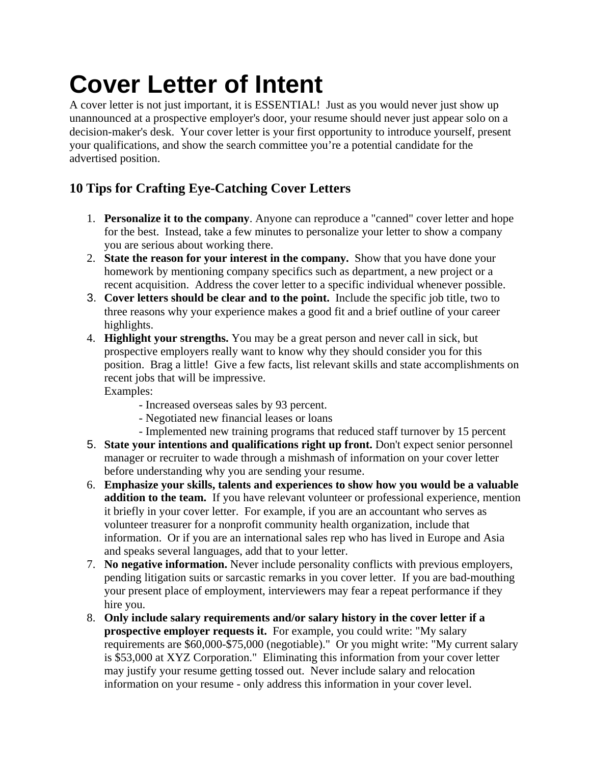## **Cover Letter of Intent**

A cover letter is not just important, it is ESSENTIAL! Just as you would never just show up unannounced at a prospective employer's door, your resume should never just appear solo on a decision-maker's desk. Your cover letter is your first opportunity to introduce yourself, present your qualifications, and show the search committee you're a potential candidate for the advertised position.

## **10 Tips for Crafting Eye-Catching Cover Letters**

- 1. **Personalize it to the company**. Anyone can reproduce a "canned" cover letter and hope for the best. Instead, take a few minutes to personalize your letter to show a company you are serious about working there.
- 2. **State the reason for your interest in the company.** Show that you have done your homework by mentioning company specifics such as department, a new project or a recent acquisition. Address the cover letter to a specific individual whenever possible.
- 3. **Cover letters should be clear and to the point.** Include the specific job title, two to three reasons why your experience makes a good fit and a brief outline of your career highlights.
- 4. **Highlight your strengths.** You may be a great person and never call in sick, but prospective employers really want to know why they should consider you for this position. Brag a little! Give a few facts, list relevant skills and state accomplishments on recent jobs that will be impressive.

Examples:

- Increased overseas sales by 93 percent.
- Negotiated new financial leases or loans
- Implemented new training programs that reduced staff turnover by 15 percent
- 5. **State your intentions and qualifications right up front.** Don't expect senior personnel manager or recruiter to wade through a mishmash of information on your cover letter before understanding why you are sending your resume.
- 6. **Emphasize your skills, talents and experiences to show how you would be a valuable addition to the team.** If you have relevant volunteer or professional experience, mention it briefly in your cover letter. For example, if you are an accountant who serves as volunteer treasurer for a nonprofit community health organization, include that information. Or if you are an international sales rep who has lived in Europe and Asia and speaks several languages, add that to your letter.
- 7. **No negative information.** Never include personality conflicts with previous employers, pending litigation suits or sarcastic remarks in you cover letter. If you are bad-mouthing your present place of employment, interviewers may fear a repeat performance if they hire you.
- 8. **Only include salary requirements and/or salary history in the cover letter if a prospective employer requests it.** For example, you could write: "My salary requirements are \$60,000-\$75,000 (negotiable)." Or you might write: "My current salary is \$53,000 at XYZ Corporation." Eliminating this information from your cover letter may justify your resume getting tossed out. Never include salary and relocation information on your resume - only address this information in your cover level.